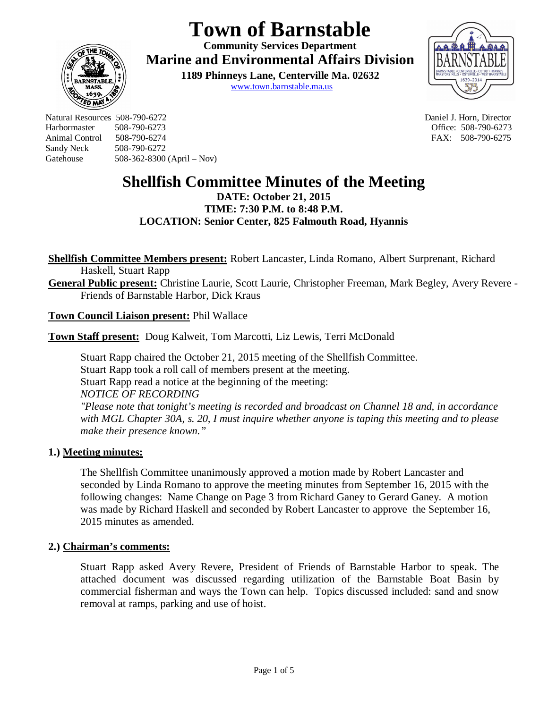# **Town of Barnstable**

**Community Services Department Marine and Environmental Affairs Division** 

> **1189 Phinneys Lane, Centerville Ma. 02632** www.town.barnstable.ma.us



Natural Resources 508-790-6272 Daniel J. Horn, Director Harbormaster 508-790-6273 Office: 508-790-6273 Sandy Neck 508-790-6272 Gatehouse 508-362-8300 (April – Nov)

**ED MI** 

FAX: 508-790-6275

## **Shellfish Committee Minutes of the Meeting**

**DATE: October 21, 2015 TIME: 7:30 P.M. to 8:48 P.M. LOCATION: Senior Center, 825 Falmouth Road, Hyannis**

**Shellfish Committee Members present:** Robert Lancaster, Linda Romano, Albert Surprenant, Richard Haskell, Stuart Rapp

**General Public present:** Christine Laurie, Scott Laurie, Christopher Freeman, Mark Begley, Avery Revere - Friends of Barnstable Harbor, Dick Kraus

**Town Council Liaison present:** Phil Wallace

**Town Staff present:** Doug Kalweit, Tom Marcotti, Liz Lewis, Terri McDonald

Stuart Rapp chaired the October 21, 2015 meeting of the Shellfish Committee. Stuart Rapp took a roll call of members present at the meeting. Stuart Rapp read a notice at the beginning of the meeting: *NOTICE OF RECORDING "Please note that tonight's meeting is recorded and broadcast on Channel 18 and, in accordance with MGL Chapter 30A, s. 20, I must inquire whether anyone is taping this meeting and to please make their presence known."*

## **1.) Meeting minutes:**

The Shellfish Committee unanimously approved a motion made by Robert Lancaster and seconded by Linda Romano to approve the meeting minutes from September 16, 2015 with the following changes: Name Change on Page 3 from Richard Ganey to Gerard Ganey. A motion was made by Richard Haskell and seconded by Robert Lancaster to approve the September 16, 2015 minutes as amended.

## **2.) Chairman's comments:**

Stuart Rapp asked Avery Revere, President of Friends of Barnstable Harbor to speak. The attached document was discussed regarding utilization of the Barnstable Boat Basin by commercial fisherman and ways the Town can help. Topics discussed included: sand and snow removal at ramps, parking and use of hoist.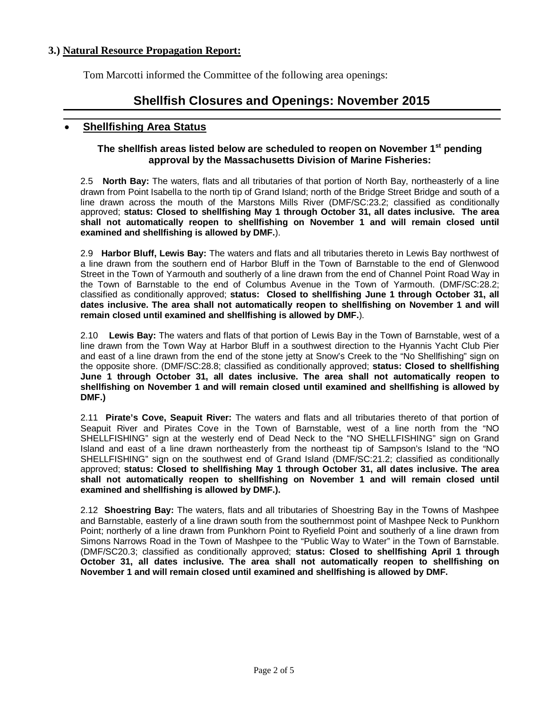## **3.) Natural Resource Propagation Report:**

Tom Marcotti informed the Committee of the following area openings:

## **Shellfish Closures and Openings: November 2015**

## **Shellfishing Area Status**

#### **The shellfish areas listed below are scheduled to reopen on November 1st pending approval by the Massachusetts Division of Marine Fisheries:**

2.5 **North Bay:** The waters, flats and all tributaries of that portion of North Bay, northeasterly of a line drawn from Point Isabella to the north tip of Grand Island; north of the Bridge Street Bridge and south of a line drawn across the mouth of the Marstons Mills River (DMF/SC:23.2; classified as conditionally approved; **status: Closed to shellfishing May 1 through October 31, all dates inclusive. The area shall not automatically reopen to shellfishing on November 1 and will remain closed until examined and shellfishing is allowed by DMF.**).

2.9 **Harbor Bluff, Lewis Bay:** The waters and flats and all tributaries thereto in Lewis Bay northwest of a line drawn from the southern end of Harbor Bluff in the Town of Barnstable to the end of Glenwood Street in the Town of Yarmouth and southerly of a line drawn from the end of Channel Point Road Way in the Town of Barnstable to the end of Columbus Avenue in the Town of Yarmouth. (DMF/SC:28.2; classified as conditionally approved; **status: Closed to shellfishing June 1 through October 31, all dates inclusive. The area shall not automatically reopen to shellfishing on November 1 and will remain closed until examined and shellfishing is allowed by DMF.**).

2.10 **Lewis Bay:** The waters and flats of that portion of Lewis Bay in the Town of Barnstable, west of a line drawn from the Town Way at Harbor Bluff in a southwest direction to the Hyannis Yacht Club Pier and east of a line drawn from the end of the stone jetty at Snow's Creek to the "No Shellfishing" sign on the opposite shore. (DMF/SC:28.8; classified as conditionally approved; **status: Closed to shellfishing June 1 through October 31, all dates inclusive. The area shall not automatically reopen to shellfishing on November 1 and will remain closed until examined and shellfishing is allowed by DMF.)**

2.11 **Pirate's Cove, Seapuit River:** The waters and flats and all tributaries thereto of that portion of Seapuit River and Pirates Cove in the Town of Barnstable, west of a line north from the "NO SHELLFISHING" sign at the westerly end of Dead Neck to the "NO SHELLFISHING" sign on Grand Island and east of a line drawn northeasterly from the northeast tip of Sampson's Island to the "NO SHELLFISHING" sign on the southwest end of Grand Island (DMF/SC:21.2; classified as conditionally approved; **status: Closed to shellfishing May 1 through October 31, all dates inclusive. The area shall not automatically reopen to shellfishing on November 1 and will remain closed until examined and shellfishing is allowed by DMF.).** 

2.12 **Shoestring Bay:** The waters, flats and all tributaries of Shoestring Bay in the Towns of Mashpee and Barnstable, easterly of a line drawn south from the southernmost point of Mashpee Neck to Punkhorn Point; northerly of a line drawn from Punkhorn Point to Ryefield Point and southerly of a line drawn from Simons Narrows Road in the Town of Mashpee to the "Public Way to Water" in the Town of Barnstable. (DMF/SC20.3; classified as conditionally approved; **status: Closed to shellfishing April 1 through October 31, all dates inclusive. The area shall not automatically reopen to shellfishing on November 1 and will remain closed until examined and shellfishing is allowed by DMF.**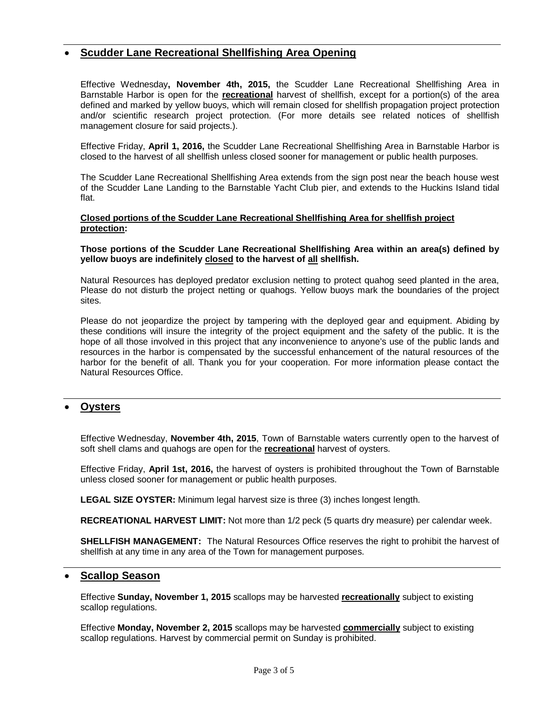## **Scudder Lane Recreational Shellfishing Area Opening**

Effective Wednesday**, November 4th, 2015,** the Scudder Lane Recreational Shellfishing Area in Barnstable Harbor is open for the **recreational** harvest of shellfish, except for a portion(s) of the area defined and marked by yellow buoys, which will remain closed for shellfish propagation project protection and/or scientific research project protection. (For more details see related notices of shellfish management closure for said projects.).

Effective Friday, **April 1, 2016,** the Scudder Lane Recreational Shellfishing Area in Barnstable Harbor is closed to the harvest of all shellfish unless closed sooner for management or public health purposes.

The Scudder Lane Recreational Shellfishing Area extends from the sign post near the beach house west of the Scudder Lane Landing to the Barnstable Yacht Club pier, and extends to the Huckins Island tidal flat.

#### **Closed portions of the Scudder Lane Recreational Shellfishing Area for shellfish project protection:**

#### **Those portions of the Scudder Lane Recreational Shellfishing Area within an area(s) defined by yellow buoys are indefinitely closed to the harvest of all shellfish.**

Natural Resources has deployed predator exclusion netting to protect quahog seed planted in the area, Please do not disturb the project netting or quahogs. Yellow buoys mark the boundaries of the project sites.

Please do not jeopardize the project by tampering with the deployed gear and equipment. Abiding by these conditions will insure the integrity of the project equipment and the safety of the public. It is the hope of all those involved in this project that any inconvenience to anyone's use of the public lands and resources in the harbor is compensated by the successful enhancement of the natural resources of the harbor for the benefit of all. Thank you for your cooperation. For more information please contact the Natural Resources Office.

## **Oysters**

Effective Wednesday, **November 4th, 2015**, Town of Barnstable waters currently open to the harvest of soft shell clams and quahogs are open for the **recreational** harvest of oysters.

Effective Friday, **April 1st, 2016,** the harvest of oysters is prohibited throughout the Town of Barnstable unless closed sooner for management or public health purposes.

**LEGAL SIZE OYSTER:** Minimum legal harvest size is three (3) inches longest length.

**RECREATIONAL HARVEST LIMIT:** Not more than 1/2 peck (5 quarts dry measure) per calendar week.

**SHELLFISH MANAGEMENT:** The Natural Resources Office reserves the right to prohibit the harvest of shellfish at any time in any area of the Town for management purposes.

#### **Scallop Season**

Effective **Sunday, November 1, 2015** scallops may be harvested **recreationally** subject to existing scallop regulations.

Effective **Monday, November 2, 2015** scallops may be harvested **commercially** subject to existing scallop regulations. Harvest by commercial permit on Sunday is prohibited.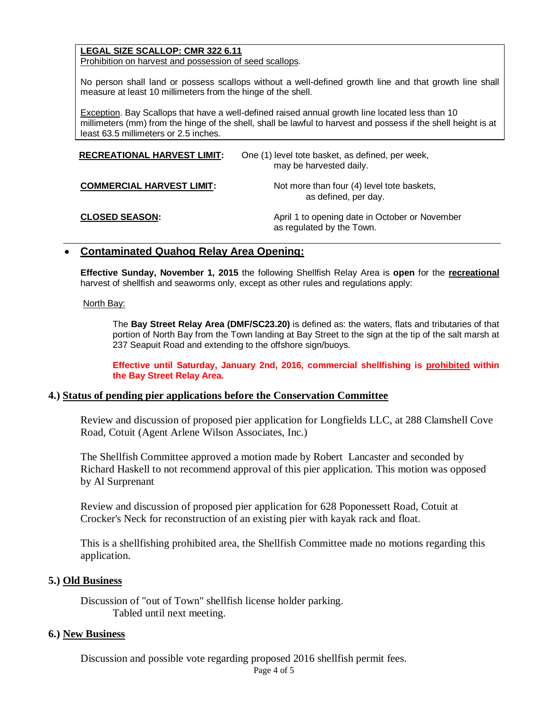## **LEGAL SIZE SCALLOP: CMR 322 6.11**

Prohibition on harvest and possession of seed scallops.

No person shall land or possess scallops without a well-defined growth line and that growth line shall measure at least 10 millimeters from the hinge of the shell.

Exception. Bay Scallops that have a well-defined raised annual growth line located less than 10 millimeters (mm) from the hinge of the shell, shall be lawful to harvest and possess if the shell height is at least 63.5 millimeters or 2.5 inches.

| <b>RECREATIONAL HARVEST LIMIT:</b> | One (1) level tote basket, as defined, per week,<br>may be harvested daily. |
|------------------------------------|-----------------------------------------------------------------------------|
| <b>COMMERCIAL HARVEST LIMIT:</b>   | Not more than four (4) level tote baskets,<br>as defined, per day.          |
| <b>CLOSED SEASON:</b>              | April 1 to opening date in October or November<br>as regulated by the Town. |

## **Contaminated Quahog Relay Area Opening:**

**Effective Sunday, November 1, 2015** the following Shellfish Relay Area is **open** for the **recreational** harvest of shellfish and seaworms only, except as other rules and regulations apply:

#### North Bay:

The **Bay Street Relay Area (DMF/SC23.20)** is defined as: the waters, flats and tributaries of that portion of North Bay from the Town landing at Bay Street to the sign at the tip of the salt marsh at 237 Seapuit Road and extending to the offshore sign/buoys.

**Effective until Saturday, January 2nd, 2016, commercial shellfishing is prohibited within the Bay Street Relay Area.**

## **4.) Status of pending pier applications before the Conservation Committee**

Review and discussion of proposed pier application for Longfields LLC, at 288 Clamshell Cove Road, Cotuit (Agent Arlene Wilson Associates, Inc.)

The Shellfish Committee approved a motion made by Robert Lancaster and seconded by Richard Haskell to not recommend approval of this pier application. This motion was opposed by Al Surprenant

Review and discussion of proposed pier application for 628 Poponessett Road, Cotuit at Crocker's Neck for reconstruction of an existing pier with kayak rack and float.

This is a shellfishing prohibited area, the Shellfish Committee made no motions regarding this application.

## **5.) Old Business**

Discussion of "out of Town" shellfish license holder parking. Tabled until next meeting.

#### **6.) New Business**

Discussion and possible vote regarding proposed 2016 shellfish permit fees.